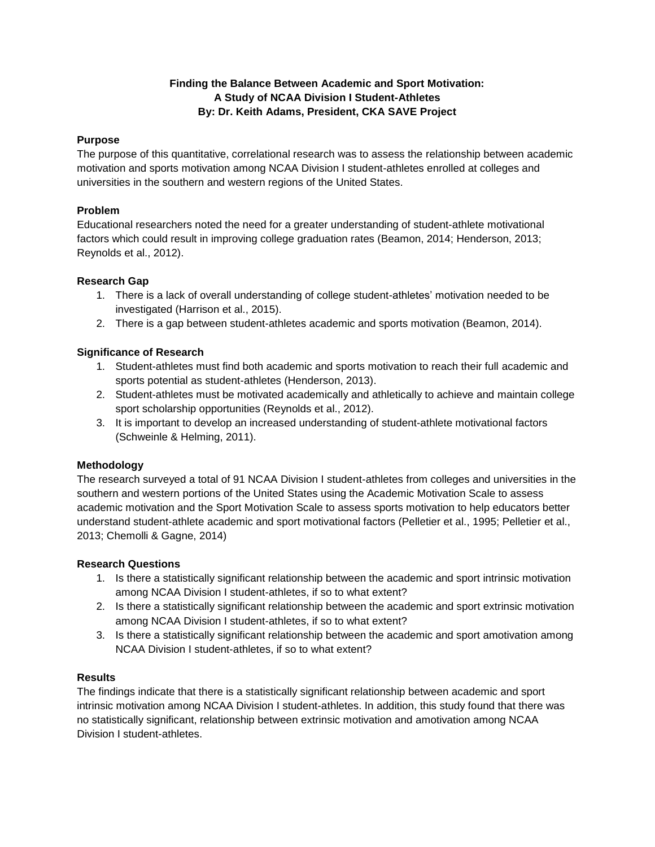# **Finding the Balance Between Academic and Sport Motivation: A Study of NCAA Division I Student-Athletes By: Dr. Keith Adams, President, CKA SAVE Project**

## **Purpose**

The purpose of this quantitative, correlational research was to assess the relationship between academic motivation and sports motivation among NCAA Division I student-athletes enrolled at colleges and universities in the southern and western regions of the United States.

# **Problem**

Educational researchers noted the need for a greater understanding of student-athlete motivational factors which could result in improving college graduation rates (Beamon, 2014; Henderson, 2013; Reynolds et al., 2012).

# **Research Gap**

- 1. There is a lack of overall understanding of college student-athletes' motivation needed to be investigated (Harrison et al., 2015).
- 2. There is a gap between student-athletes academic and sports motivation (Beamon, 2014).

# **Significance of Research**

- 1. Student-athletes must find both academic and sports motivation to reach their full academic and sports potential as student-athletes (Henderson, 2013).
- 2. Student-athletes must be motivated academically and athletically to achieve and maintain college sport scholarship opportunities (Reynolds et al., 2012).
- 3. It is important to develop an increased understanding of student-athlete motivational factors (Schweinle & Helming, 2011).

# **Methodology**

The research surveyed a total of 91 NCAA Division I student-athletes from colleges and universities in the southern and western portions of the United States using the Academic Motivation Scale to assess academic motivation and the Sport Motivation Scale to assess sports motivation to help educators better understand student-athlete academic and sport motivational factors (Pelletier et al., 1995; Pelletier et al., 2013; Chemolli & Gagne, 2014)

## **Research Questions**

- 1. Is there a statistically significant relationship between the academic and sport intrinsic motivation among NCAA Division I student-athletes, if so to what extent?
- 2. Is there a statistically significant relationship between the academic and sport extrinsic motivation among NCAA Division I student-athletes, if so to what extent?
- 3. Is there a statistically significant relationship between the academic and sport amotivation among NCAA Division I student-athletes, if so to what extent?

## **Results**

The findings indicate that there is a statistically significant relationship between academic and sport intrinsic motivation among NCAA Division I student-athletes. In addition, this study found that there was no statistically significant, relationship between extrinsic motivation and amotivation among NCAA Division I student-athletes.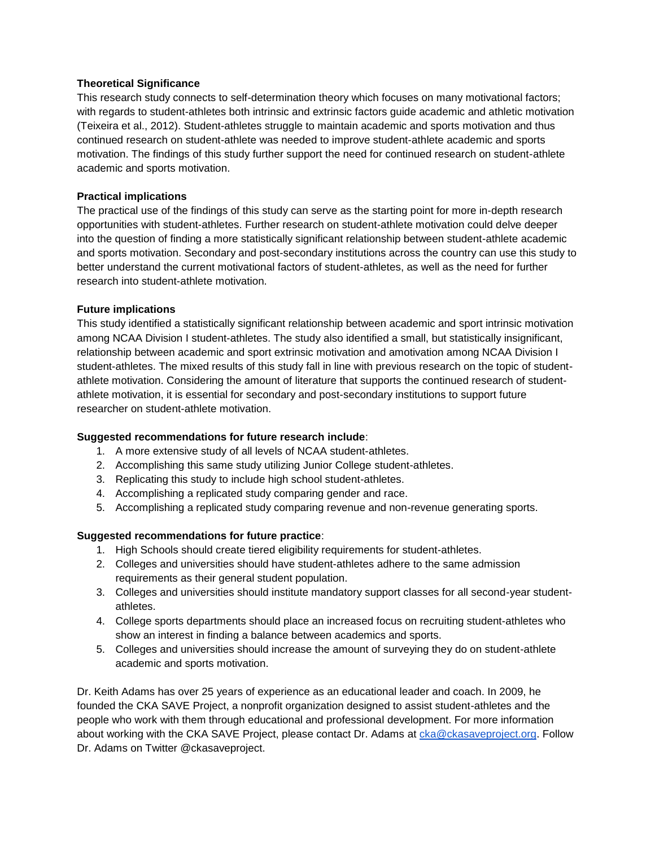#### **Theoretical Significance**

This research study connects to self-determination theory which focuses on many motivational factors; with regards to student-athletes both intrinsic and extrinsic factors guide academic and athletic motivation (Teixeira et al., 2012). Student-athletes struggle to maintain academic and sports motivation and thus continued research on student-athlete was needed to improve student-athlete academic and sports motivation. The findings of this study further support the need for continued research on student-athlete academic and sports motivation.

#### **Practical implications**

The practical use of the findings of this study can serve as the starting point for more in-depth research opportunities with student-athletes. Further research on student-athlete motivation could delve deeper into the question of finding a more statistically significant relationship between student-athlete academic and sports motivation. Secondary and post-secondary institutions across the country can use this study to better understand the current motivational factors of student-athletes, as well as the need for further research into student-athlete motivation.

#### **Future implications**

This study identified a statistically significant relationship between academic and sport intrinsic motivation among NCAA Division I student-athletes. The study also identified a small, but statistically insignificant, relationship between academic and sport extrinsic motivation and amotivation among NCAA Division I student-athletes. The mixed results of this study fall in line with previous research on the topic of studentathlete motivation. Considering the amount of literature that supports the continued research of studentathlete motivation, it is essential for secondary and post-secondary institutions to support future researcher on student-athlete motivation.

## **Suggested recommendations for future research include**:

- 1. A more extensive study of all levels of NCAA student-athletes.
- 2. Accomplishing this same study utilizing Junior College student-athletes.
- 3. Replicating this study to include high school student-athletes.
- 4. Accomplishing a replicated study comparing gender and race.
- 5. Accomplishing a replicated study comparing revenue and non-revenue generating sports.

## **Suggested recommendations for future practice**:

- 1. High Schools should create tiered eligibility requirements for student-athletes.
- 2. Colleges and universities should have student-athletes adhere to the same admission requirements as their general student population.
- 3. Colleges and universities should institute mandatory support classes for all second-year studentathletes.
- 4. College sports departments should place an increased focus on recruiting student-athletes who show an interest in finding a balance between academics and sports.
- 5. Colleges and universities should increase the amount of surveying they do on student-athlete academic and sports motivation.

Dr. Keith Adams has over 25 years of experience as an educational leader and coach. In 2009, he founded the CKA SAVE Project, a nonprofit organization designed to assist student-athletes and the people who work with them through educational and professional development. For more information about working with the CKA SAVE Project, please contact Dr. Adams at [cka@ckasaveproject.org.](mailto:cka@ckasaveproject.org) Follow Dr. Adams on Twitter @ckasaveproject.